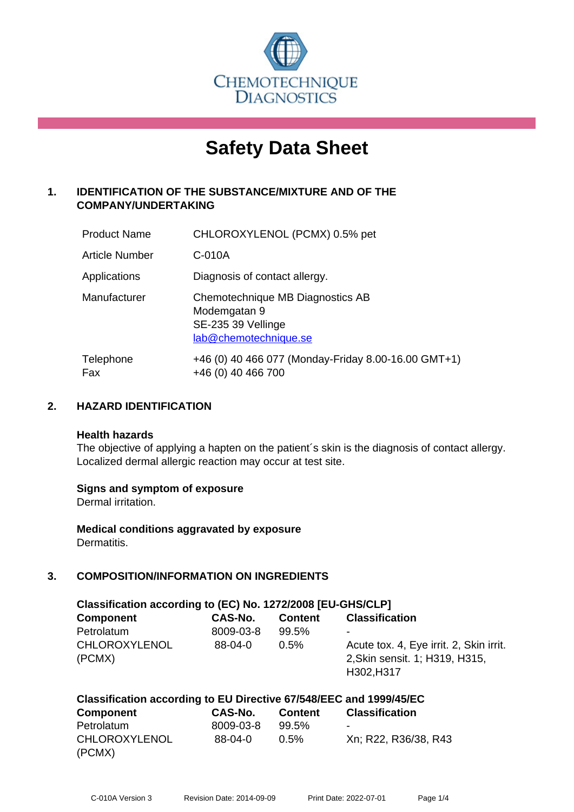

# **Safety Data Sheet**

# **1. IDENTIFICATION OF THE SUBSTANCE/MIXTURE AND OF THE COMPANY/UNDERTAKING**

| <b>Product Name</b> | CHLOROXYLENOL (PCMX) 0.5% pet                                                                   |
|---------------------|-------------------------------------------------------------------------------------------------|
| Article Number      | C-010A                                                                                          |
| Applications        | Diagnosis of contact allergy.                                                                   |
| Manufacturer        | Chemotechnique MB Diagnostics AB<br>Modemgatan 9<br>SE-235 39 Vellinge<br>lab@chemotechnique.se |
| Telephone<br>Fax    | +46 (0) 40 466 077 (Monday-Friday 8.00-16.00 GMT+1)<br>+46 (0) 40 466 700                       |

### **2. HAZARD IDENTIFICATION**

#### **Health hazards**

The objective of applying a hapten on the patient's skin is the diagnosis of contact allergy. Localized dermal allergic reaction may occur at test site.

#### **Signs and symptom of exposure**

Dermal irritation.

**Medical conditions aggravated by exposure** Dermatitis.

# **3. COMPOSITION/INFORMATION ON INGREDIENTS**

| Classification according to (EC) No. 1272/2008 [EU-GHS/CLP] |           |                |                                                                                         |  |  |  |
|-------------------------------------------------------------|-----------|----------------|-----------------------------------------------------------------------------------------|--|--|--|
| <b>Component</b>                                            | CAS-No.   | <b>Content</b> | <b>Classification</b>                                                                   |  |  |  |
| Petrolatum                                                  | 8009-03-8 | 99.5%          | ۰                                                                                       |  |  |  |
| <b>CHLOROXYLENOL</b><br>(PCMX)                              | $88-04-0$ | $0.5\%$        | Acute tox. 4, Eye irrit. 2, Skin irrit.<br>2, Skin sensit. 1; H319, H315,<br>H302, H317 |  |  |  |

| Classification according to EU Directive 67/548/EEC and 1999/45/EC |           |         |                          |  |  |
|--------------------------------------------------------------------|-----------|---------|--------------------------|--|--|
| <b>Component</b>                                                   | CAS-No.   | Content | <b>Classification</b>    |  |  |
| Petrolatum                                                         | 8009-03-8 | 99.5%   | $\overline{\phantom{0}}$ |  |  |
| <b>CHLOROXYLENOL</b>                                               | 88-04-0   | $0.5\%$ | Xn; R22, R36/38, R43     |  |  |
| (PCMX)                                                             |           |         |                          |  |  |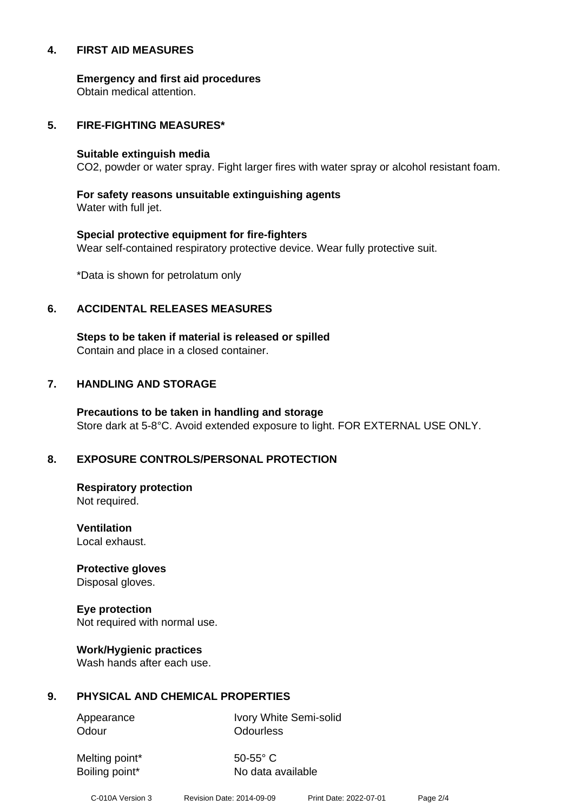#### **4. FIRST AID MEASURES**

**Emergency and first aid procedures**

Obtain medical attention.

#### **5. FIRE-FIGHTING MEASURES\***

#### **Suitable extinguish media**

CO2, powder or water spray. Fight larger fires with water spray or alcohol resistant foam.

# **For safety reasons unsuitable extinguishing agents**

Water with full jet.

# **Special protective equipment for fire-fighters** Wear self-contained respiratory protective device. Wear fully protective suit.

\*Data is shown for petrolatum only

# **6. ACCIDENTAL RELEASES MEASURES**

**Steps to be taken if material is released or spilled** Contain and place in a closed container.

# **7. HANDLING AND STORAGE**

**Precautions to be taken in handling and storage** Store dark at 5-8°C. Avoid extended exposure to light. FOR EXTERNAL USE ONLY.

# **8. EXPOSURE CONTROLS/PERSONAL PROTECTION**

**Respiratory protection** Not required.

**Ventilation** Local exhaust.

**Protective gloves** Disposal gloves.

# **Eye protection**

Not required with normal use.

#### **Work/Hygienic practices**

Wash hands after each use.

#### **9. PHYSICAL AND CHEMICAL PROPERTIES**

Odour **Odourless** 

Appearance Ivory White Semi-solid

Melting point\* 50-55° C

Boiling point\* No data available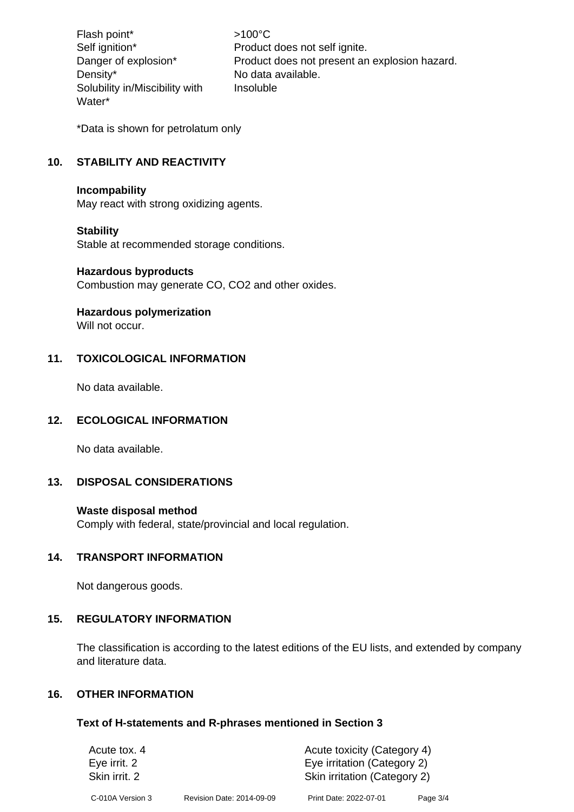Flash point\*  $>100^{\circ}$ C Density\* No data available. Solubility in/Miscibility with Water\*

Self ignition\* Product does not self ignite. Danger of explosion\* Product does not present an explosion hazard. Insoluble

\*Data is shown for petrolatum only

# **10. STABILITY AND REACTIVITY**

#### **Incompability**

May react with strong oxidizing agents.

#### **Stability**

Stable at recommended storage conditions.

#### **Hazardous byproducts**

Combustion may generate CO, CO2 and other oxides.

#### **Hazardous polymerization**

Will not occur.

#### **11. TOXICOLOGICAL INFORMATION**

No data available.

#### **12. ECOLOGICAL INFORMATION**

No data available.

#### **13. DISPOSAL CONSIDERATIONS**

#### **Waste disposal method**

Comply with federal, state/provincial and local regulation.

#### **14. TRANSPORT INFORMATION**

Not dangerous goods.

#### **15. REGULATORY INFORMATION**

The classification is according to the latest editions of the EU lists, and extended by company and literature data.

#### **16. OTHER INFORMATION**

#### **Text of H-statements and R-phrases mentioned in Section 3**

| Acute tox. 4     |                           | Acute toxicity (Category 4)  |          |  |
|------------------|---------------------------|------------------------------|----------|--|
| Eye irrit. 2     |                           | Eye irritation (Category 2)  |          |  |
| Skin irrit, 2    |                           | Skin irritation (Category 2) |          |  |
| C-010A Version 3 | Revision Date: 2014-09-09 | Print Date: 2022-07-01       | Page 3/4 |  |